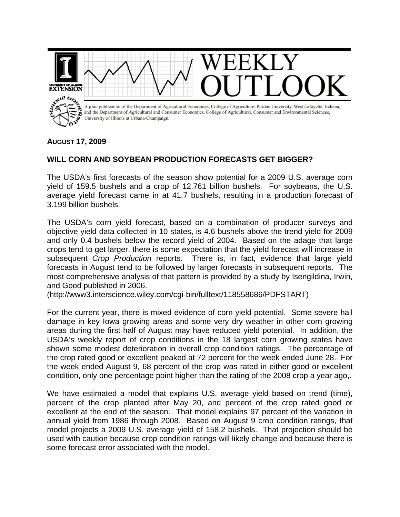

## **AUGUST 17, 2009**

## **WILL CORN AND SOYBEAN PRODUCTION FORECASTS GET BIGGER?**

The USDA's first forecasts of the season show potential for a 2009 U.S. average corn yield of 159.5 bushels and a crop of 12.761 billion bushels. For soybeans, the U.S. average yield forecast came in at 41.7 bushels, resulting in a production forecast of 3.199 billion bushels.

The USDA's corn yield forecast, based on a combination of producer surveys and objective yield data collected in 10 states, is 4.6 bushels above the trend yield for 2009 and only 0.4 bushels below the record yield of 2004. Based on the adage that large crops tend to get larger, there is some expectation that the yield forecast will increase in subsequent *Crop Production* reports. There is, in fact, evidence that large yield forecasts in August tend to be followed by larger forecasts in subsequent reports. The most comprehensive analysis of that pattern is provided by a study by Isengildina, Irwin, and Good published in 2006.

(http://www3.interscience.wiley.com/cgi-bin/fulltext/118558686/PDFSTART)

For the current year, there is mixed evidence of corn yield potential. Some severe hail damage in key Iowa growing areas and some very dry weather in other corn growing areas during the first half of August may have reduced yield potential. In addition, the USDA's weekly report of crop conditions in the 18 largest corn growing states have shown some modest deterioration in overall crop condition ratings. The percentage of the crop rated good or excellent peaked at 72 percent for the week ended June 28. For the week ended August 9, 68 percent of the crop was rated in either good or excellent condition, only one percentage point higher than the rating of the 2008 crop a year ago,.

We have estimated a model that explains U.S. average yield based on trend (time), percent of the crop planted after May 20, and percent of the crop rated good or excellent at the end of the season. That model explains 97 percent of the variation in annual yield from 1986 through 2008. Based on August 9 crop condition ratings, that model projects a 2009 U.S. average yield of 158.2 bushels. That projection should be used with caution because crop condition ratings will likely change and because there is some forecast error associated with the model.